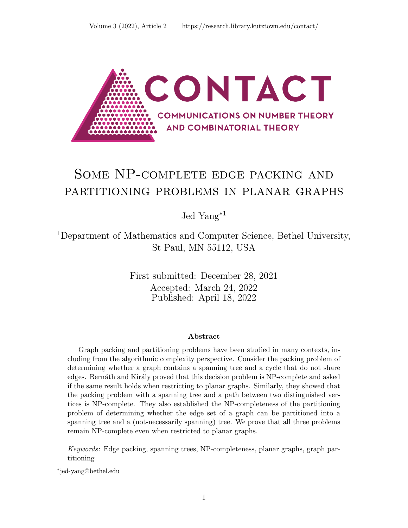

# Some NP-complete edge packing and partitioning problems in planar graphs

Jed Yang<sup>∗</sup><sup>1</sup>

<sup>1</sup>Department of Mathematics and Computer Science, Bethel University, St Paul, MN 55112, USA

> First submitted: December 28, 2021 Accepted: March 24, 2022 Published: April 18, 2022

### Abstract

Graph packing and partitioning problems have been studied in many contexts, including from the algorithmic complexity perspective. Consider the packing problem of determining whether a graph contains a spanning tree and a cycle that do not share edges. Bernáth and Király proved that this decision problem is NP-complete and asked if the same result holds when restricting to planar graphs. Similarly, they showed that the packing problem with a spanning tree and a path between two distinguished vertices is NP-complete. They also established the NP-completeness of the partitioning problem of determining whether the edge set of a graph can be partitioned into a spanning tree and a (not-necessarily spanning) tree. We prove that all three problems remain NP-complete even when restricted to planar graphs.

Keywords: Edge packing, spanning trees, NP-completeness, planar graphs, graph partitioning

<sup>∗</sup> jed-yang@bethel.edu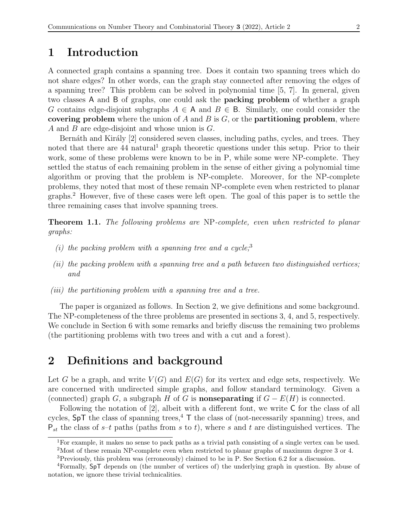### 1 Introduction

A connected graph contains a spanning tree. Does it contain two spanning trees which do not share edges? In other words, can the graph stay connected after removing the edges of a spanning tree? This problem can be solved in polynomial time [\[5,](#page-7-0) [7\]](#page-7-1). In general, given two classes A and B of graphs, one could ask the packing problem of whether a graph G contains edge-disjoint subgraphs  $A \in A$  and  $B \in B$ . Similarly, one could consider the covering problem where the union of A and B is  $G$ , or the **partitioning problem**, where A and B are edge-disjoint and whose union is G.

Bernáth and Király [\[2\]](#page-7-2) considered seven classes, including paths, cycles, and trees. They noted that there are 44 natural<sup>[1](#page-1-0)</sup> graph theoretic questions under this setup. Prior to their work, some of these problems were known to be in P, while some were NP-complete. They settled the status of each remaining problem in the sense of either giving a polynomial time algorithm or proving that the problem is NP-complete. Moreover, for the NP-complete problems, they noted that most of these remain NP-complete even when restricted to planar graphs.[2](#page-1-1) However, five of these cases were left open. The goal of this paper is to settle the three remaining cases that involve spanning trees.

<span id="page-1-5"></span>Theorem 1.1. The following problems are NP-complete, even when restricted to planar graphs:

- (i) the packing problem with a spanning tree and a cycle;<sup>[3](#page-1-2)</sup>
- (ii) the packing problem with a spanning tree and a path between two distinguished vertices; and
- (iii) the partitioning problem with a spanning tree and a tree.

The paper is organized as follows. In Section [2,](#page-1-3) we give definitions and some background. The NP-completeness of the three problems are presented in sections [3,](#page-2-0) [4,](#page-4-0) and [5,](#page-5-0) respectively. We conclude in Section [6](#page-5-1) with some remarks and briefly discuss the remaining two problems (the partitioning problems with two trees and with a cut and a forest).

### <span id="page-1-3"></span>2 Definitions and background

Let G be a graph, and write  $V(G)$  and  $E(G)$  for its vertex and edge sets, respectively. We are concerned with undirected simple graphs, and follow standard terminology. Given a (connected) graph G, a subgraph H of G is **nonseparating** if  $G - E(H)$  is connected.

Following the notation of [\[2\]](#page-7-2), albeit with a different font, we write C for the class of all cycles,  $SpT$  the class of spanning trees,<sup>[4](#page-1-4)</sup> T the class of (not-necessarily spanning) trees, and  $P_{st}$  the class of s–t paths (paths from s to t), where s and t are distinguished vertices. The

<span id="page-1-0"></span><sup>1</sup>For example, it makes no sense to pack paths as a trivial path consisting of a single vertex can be used.

<span id="page-1-2"></span><span id="page-1-1"></span><sup>2</sup>Most of these remain NP-complete even when restricted to planar graphs of maximum degree 3 or 4.

<span id="page-1-4"></span><sup>3</sup>Previously, this problem was (erroneously) claimed to be in P. See Section [6.2](#page-6-0) for a discussion.

<sup>4</sup>Formally, SpT depends on (the number of vertices of) the underlying graph in question. By abuse of notation, we ignore these trivial technicalities.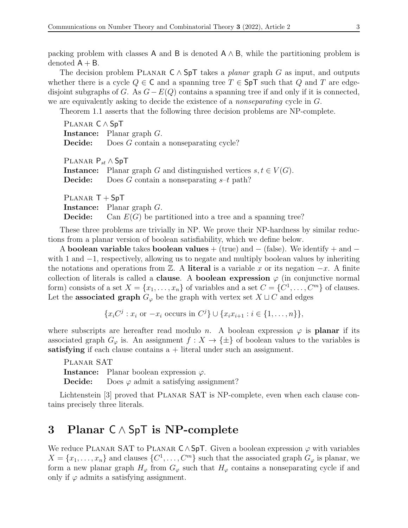packing problem with classes A and B is denoted  $A \wedge B$ , while the partitioning problem is denoted  $A + B$ .

The decision problem PLANAR  $C \wedge S$  pT takes a planar graph G as input, and outputs whether there is a cycle  $Q \in \mathsf{C}$  and a spanning tree  $T \in \mathsf{SpT}$  such that  $Q$  and  $T$  are edgedisjoint subgraphs of G. As  $G - E(Q)$  contains a spanning tree if and only if it is connected, we are equivalently asking to decide the existence of a nonseparating cycle in G.

Theorem [1.1](#page-1-5) asserts that the following three decision problems are NP-complete.

| $PLANAR C \wedge SpT$      |                                                                              |
|----------------------------|------------------------------------------------------------------------------|
|                            | <b>Instance:</b> Planar graph $G$ .                                          |
|                            | <b>Decide:</b> Does G contain a nonseparating cycle?                         |
| PLANAR $P_{st} \wedge$ SpT |                                                                              |
|                            | <b>Instance:</b> Planar graph G and distinguished vertices $s, t \in V(G)$ . |
|                            | <b>Decide:</b> Does G contain a nonseparating $s-t$ path?                    |
| $PLANAR T + SpT$           |                                                                              |
|                            | <b>Instance:</b> Planar graph $G$ .                                          |
|                            | <b>Decide:</b> Can $E(G)$ be partitioned into a tree and a spanning tree?    |

These three problems are trivially in NP. We prove their NP-hardness by similar reductions from a planar version of boolean satisfiability, which we define below.

A boolean variable takes boolean values + (true) and  $-$  (false). We identify + and  $$ with 1 and  $-1$ , respectively, allowing us to negate and multiply boolean values by inheriting the notations and operations from  $\mathbb{Z}$ . A literal is a variable x or its negation  $-x$ . A finite collection of literals is called a **clause**. A **boolean expression**  $\varphi$  (in conjunctive normal form) consists of a set  $X = \{x_1, \ldots, x_n\}$  of variables and a set  $C = \{C^1, \ldots, C^m\}$  of clauses. Let the associated graph  $G_{\varphi}$  be the graph with vertex set  $X \sqcup C$  and edges

 $\{x_i C^j : x_i \text{ or } -x_i \text{ occurs in } C^j\} \cup \{x_i x_{i+1} : i \in \{1, ..., n\}\},\$ 

where subscripts are hereafter read modulo n. A boolean expression  $\varphi$  is **planar** if its associated graph  $G_{\varphi}$  is. An assignment  $f: X \to {\{\pm\}}$  of boolean values to the variables is satisfying if each clause contains  $a +$  literal under such an assignment.

Planar SAT **Instance:** Planar boolean expression  $\varphi$ . **Decide:** Does  $\varphi$  admit a satisfying assignment?

Lichtenstein [\[3\]](#page-7-3) proved that PLANAR SAT is NP-complete, even when each clause contains precisely three literals.

### <span id="page-2-0"></span>3 Planar C ∧ SpT is NP-complete

We reduce PLANAR SAT to PLANAR  $C \wedge SpT$ . Given a boolean expression  $\varphi$  with variables  $X = \{x_1, \ldots, x_n\}$  and clauses  $\{C^1, \ldots, C^m\}$  such that the associated graph  $G_\varphi$  is planar, we form a new planar graph  $H_{\varphi}$  from  $G_{\varphi}$  such that  $H_{\varphi}$  contains a nonseparating cycle if and only if  $\varphi$  admits a satisfying assignment.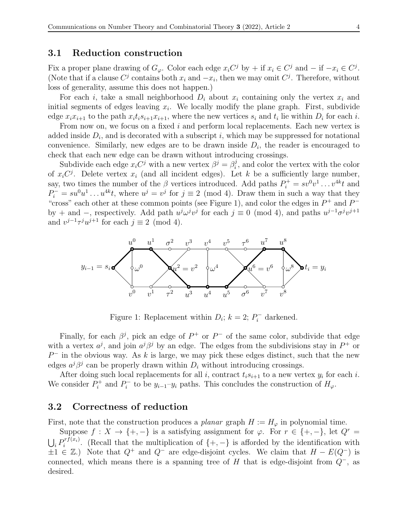### <span id="page-3-1"></span>3.1 Reduction construction

Fix a proper plane drawing of  $G_{\varphi}$ . Color each edge  $x_i C^j$  by + if  $x_i \in C^j$  and  $-$  if  $-x_i \in C^j$ . (Note that if a clause  $C^j$  contains both  $x_i$  and  $-x_i$ , then we may omit  $C^j$ . Therefore, without loss of generality, assume this does not happen.)

For each i, take a small neighborhood  $D_i$  about  $x_i$  containing only the vertex  $x_i$  and initial segments of edges leaving  $x_i$ . We locally modify the plane graph. First, subdivide edge  $x_i x_{i+1}$  to the path  $x_i t_i s_{i+1} x_{i+1}$ , where the new vertices  $s_i$  and  $t_i$  lie within  $D_i$  for each  $i$ .

From now on, we focus on a fixed i and perform local replacements. Each new vertex is added inside  $D_i$ , and is decorated with a subscript i, which may be suppressed for notational convenience. Similarly, new edges are to be drawn inside  $D_i$ , the reader is encouraged to check that each new edge can be drawn without introducing crossings.

Subdivide each edge  $x_i C^j$  with a new vertex  $\beta^j = \beta_i^j$  $i<sub>i</sub>$ , and color the vertex with the color of  $x_iC^j$ . Delete vertex  $x_i$  (and all incident edges). Let k be a sufficiently large number, say, two times the number of the  $\beta$  vertices introduced. Add paths  $P_i^+ = sv^0v^1 \dots v^{4k}t$  and  $P_i^- = su^0u^1 \dots u^{4k}t$ , where  $u^j = v^j$  for  $j \equiv 2 \pmod{4}$ . Draw them in such a way that they "cross" each other at these common points (see Figure [1\)](#page-3-0), and color the edges in  $P^+$  and  $P^$ by + and -, respectively. Add path  $u^j \omega^j v^j$  for each  $j \equiv 0 \pmod{4}$ , and paths  $u^{j-1} \sigma^j v^{j+1}$ and  $v^{j-1}\tau^{j}u^{j+1}$  for each  $j \equiv 2 \pmod{4}$ .



<span id="page-3-0"></span>Figure 1: Replacement within  $D_i$ ;  $k = 2$ ;  $P_i^-$  darkened.

Finally, for each  $\beta^j$ , pick an edge of  $P^+$  or  $P^-$  of the same color, subdivide that edge with a vertex  $a^j$ , and join  $a^j\beta^j$  by an edge. The edges from the subdivisions stay in  $P^+$  or  $P^-$  in the obvious way. As k is large, we may pick these edges distinct, such that the new edges  $a^j\beta^j$  can be properly drawn within  $D_i$  without introducing crossings.

After doing such local replacements for all i, contract  $t_i s_{i+1}$  to a new vertex  $y_i$  for each i. We consider  $P_i^+$  $P_i^+$  and  $P_i^$  $y_i$ <sup>-</sup> to be  $y_{i-1}$ - $y_i$  paths. This concludes the construction of  $H_\varphi$ .

#### <span id="page-3-2"></span>3.2 Correctness of reduction

First, note that the construction produces a planar graph  $H := H_{\varphi}$  in polynomial time.

Suppose  $f: X \to \{+, -\}$  is a satisfying assignment for  $\varphi$ . For  $r \in \{+, -\}$ , let  $Q^r =$  $\bigcup_i P_i^{rf(x_i)}$  $i^{r_j(x_i)}$ . (Recall that the multiplication of  $\{+,-\}$ ) is afforded by the identification with  $\pm 1 \in \mathbb{Z}$ .) Note that  $Q^+$  and  $Q^-$  are edge-disjoint cycles. We claim that  $H - E(Q^-)$  is connected, which means there is a spanning tree of H that is edge-disjoint from  $Q^-$ , as desired.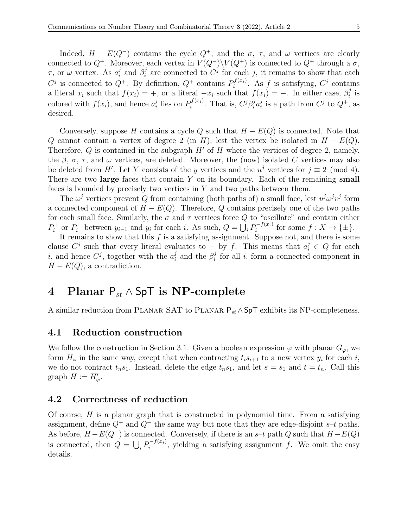Indeed,  $H - E(Q^-)$  contains the cycle  $Q^+$ , and the  $\sigma$ ,  $\tau$ , and  $\omega$  vertices are clearly connected to  $Q^+$ . Moreover, each vertex in  $V(Q^-)\backslash V(Q^+)$  is connected to  $Q^+$  through a  $\sigma$ ,  $\tau$ , or  $\omega$  vertex. As  $a_i^j$  $i$  and  $\beta_i^j$  $i$  are connected to  $C<sup>j</sup>$  for each j, it remains to show that each  $C^j$  is connected to  $Q^+$ . By definition,  $Q^+$  contains  $P_i^{f(x_i)}$  $i^{f(x_i)}$ . As f is satisfying,  $C^j$  contains a literal  $x_i$  such that  $f(x_i) = +$ , or a literal  $-x_i$  such that  $f(x_i) = -$ . In either case,  $\beta_i^j$  $_i^j$  is colored with  $f(x_i)$ , and hence  $a_i^j$  $i$  lies on  $P_i^{f(x_i)}$  $\int_i^{f(x_i)}$ . That is,  $C^j \beta_i^j a_i^j$  $i$  is a path from  $C^j$  to  $Q^+$ , as desired.

Conversely, suppose H contains a cycle Q such that  $H - E(Q)$  is connected. Note that Q cannot contain a vertex of degree 2 (in H), lest the vertex be isolated in  $H - E(Q)$ . Therefore,  $Q$  is contained in the subgraph  $H'$  of  $H$  where the vertices of degree 2, namely, the  $\beta$ ,  $\sigma$ ,  $\tau$ , and  $\omega$  vertices, are deleted. Moreover, the (now) isolated C vertices may also be deleted from H'. Let Y consists of the y vertices and the  $u^j$  vertices for  $j \equiv 2 \pmod{4}$ . There are two large faces that contain  $Y$  on its boundary. Each of the remaining small faces is bounded by precisely two vertices in  $Y$  and two paths between them.

The  $\omega^j$  vertices prevent Q from containing (both paths of) a small face, lest  $u^j \omega^j v^j$  form a connected component of  $H - E(Q)$ . Therefore, Q contains precisely one of the two paths for each small face. Similarly, the  $\sigma$  and  $\tau$  vertices force Q to "oscillate" and contain either  $P_i^+$ <sup>t</sup> or  $P_i^-$  between  $y_{i-1}$  and  $y_i$  for each i. As such,  $Q = \bigcup_i P_i^{-f(x_i)}$  $i^{J(x_i)}$  for some  $f: X \to {\{\pm\}}$ .

It remains to show that this  $f$  is a satisfying assignment. Suppose not, and there is some clause  $C^j$  such that every literal evaluates to – by f. This means that  $a_i^j \in Q$  for each i, and hence  $C^j$ , together with the  $a_i^j$  $i$ <sub>i</sub> and the  $\beta_i^j$  $i<sub>i</sub>$  for all i, form a connected component in  $H - E(Q)$ , a contradiction.

# <span id="page-4-0"></span>4 Planar  $P_{st} \wedge SpT$  is NP-complete

A similar reduction from PLANAR SAT to PLANAR  $P_{st} \wedge$ SpT exhibits its NP-completeness.

#### <span id="page-4-1"></span>4.1 Reduction construction

We follow the construction in Section [3.1.](#page-3-1) Given a boolean expression  $\varphi$  with planar  $G_{\varphi}$ , we form  $H_{\varphi}$  in the same way, except that when contracting  $t_i s_{i+1}$  to a new vertex  $y_i$  for each i, we do not contract  $t_n s_1$ . Instead, delete the edge  $t_n s_1$ , and let  $s = s_1$  and  $t = t_n$ . Call this graph  $H := H'_{\varphi}$ .

### 4.2 Correctness of reduction

Of course,  $H$  is a planar graph that is constructed in polynomial time. From a satisfying assignment, define  $Q^+$  and  $Q^-$  the same way but note that they are edge-disjoint s–t paths. As before,  $H - E(Q^-)$  is connected. Conversely, if there is an s–t path Q such that  $H - E(Q)$ is connected, then  $Q = \bigcup_i P_i^{-f(x_i)}$  $i_j^{-1}(x_i)$ , yielding a satisfying assignment f. We omit the easy details.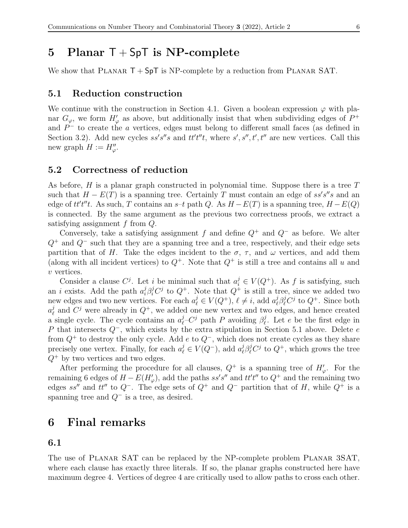### <span id="page-5-0"></span>5 Planar  $T + SpT$  is NP-complete

We show that PLANAR  $T + SpT$  is NP-complete by a reduction from PLANAR SAT.

### <span id="page-5-2"></span>5.1 Reduction construction

We continue with the construction in Section [4.1.](#page-4-1) Given a boolean expression  $\varphi$  with planar  $G_{\varphi}$ , we form  $H'_{\varphi}$  as above, but additionally insist that when subdividing edges of  $P^+$ and  $P^-$  to create the a vertices, edges must belong to different small faces (as defined in Section [3.2\)](#page-3-2). Add new cycles  $ss's''s$  and  $tt't''t$ , where  $s', s'', t', t''$  are new vertices. Call this new graph  $H := H''_{\varphi}$ .

#### 5.2 Correctness of reduction

As before,  $H$  is a planar graph constructed in polynomial time. Suppose there is a tree  $T$ such that  $H - E(T)$  is a spanning tree. Certainly T must contain an edge of ss's"s and an edge of  $tt't''t$ . As such, T contains an s–t path Q. As  $H - E(T)$  is a spanning tree,  $H - E(Q)$ is connected. By the same argument as the previous two correctness proofs, we extract a satisfying assignment f from Q.

Conversely, take a satisfying assignment f and define  $Q^+$  and  $Q^-$  as before. We alter  $Q^+$  and  $Q^-$  such that they are a spanning tree and a tree, respectively, and their edge sets partition that of H. Take the edges incident to the  $\sigma$ ,  $\tau$ , and  $\omega$  vertices, and add them (along with all incident vertices) to  $Q^+$ . Note that  $Q^+$  is still a tree and contains all u and v vertices.

Consider a clause  $C^j$ . Let i be minimal such that  $a_i^j \in V(Q^+)$ . As f is satisfying, such an *i* exists. Add the path  $a_i^j \beta_i^j C^j$  to  $Q^+$ . Note that  $Q^+$  is still a tree, since we added two new edges and two new vertices. For each  $a_\ell^j \in V(Q^+), \, \ell \neq i$ , add  $a_\ell^j$  $i_{\ell}^j \beta_{\ell}^j C^j$  to  $Q^+$ . Since both  $a^j_\ell$  $\ell$  and  $C^j$  were already in  $Q^+$ , we added one new vertex and two edges, and hence created a single cycle. The cycle contains an  $a_{\ell}^{j}$  $j_{\ell}$ -C<sup>j</sup> path P avoiding  $\beta_{\ell}^{j}$  $\ell$ . Let e be the first edge in P that intersects  $Q^-$ , which exists by the extra stipulation in Section [5.1](#page-5-2) above. Delete e from  $Q^+$  to destroy the only cycle. Add e to  $Q^-$ , which does not create cycles as they share precisely one vertex. Finally, for each  $a_\ell^j \in V(Q^-)$ , add  $a_\ell^j$  $\ell^j_{\ell} \beta^j_{\ell} C^j$  to  $Q^+$ , which grows the tree  $Q^+$  by two vertices and two edges.

After performing the procedure for all clauses,  $Q^+$  is a spanning tree of  $H'_\varphi$ . For the remaining 6 edges of  $H - E(H'_{\varphi})$ , add the paths ss's" and tt't" to  $Q^+$  and the remaining two edges ss" and tt" to  $Q^-$ . The edge sets of  $Q^+$  and  $Q^-$  partition that of H, while  $Q^+$  is a spanning tree and  $Q^-$  is a tree, as desired.

### <span id="page-5-1"></span>6 Final remarks

#### 6.1

The use of Planar SAT can be replaced by the NP-complete problem Planar 3SAT, where each clause has exactly three literals. If so, the planar graphs constructed here have maximum degree 4. Vertices of degree 4 are critically used to allow paths to cross each other.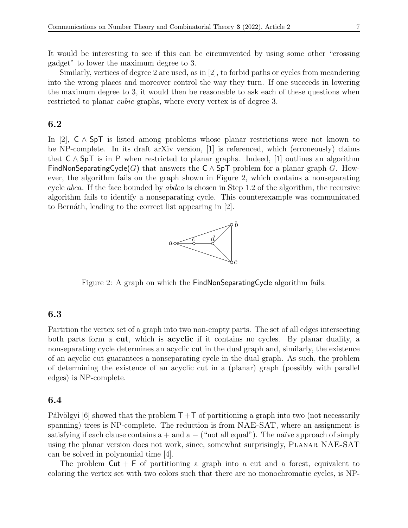It would be interesting to see if this can be circumvented by using some other "crossing gadget" to lower the maximum degree to 3.

Similarly, vertices of degree 2 are used, as in [\[2\]](#page-7-2), to forbid paths or cycles from meandering into the wrong places and moreover control the way they turn. If one succeeds in lowering the maximum degree to 3, it would then be reasonable to ask each of these questions when restricted to planar *cubic* graphs, where every vertex is of degree 3.

### <span id="page-6-0"></span>6.2

In [\[2\]](#page-7-2), C ∧ SpT is listed among problems whose planar restrictions were not known to be NP-complete. In its draft arXiv version, [\[1\]](#page-7-4) is referenced, which (erroneously) claims that  $C \wedge SpT$  is in P when restricted to planar graphs. Indeed, [\[1\]](#page-7-4) outlines an algorithm FindNonSeparatingCycle(G) that answers the  $C \wedge SpT$  problem for a planar graph G. However, the algorithm fails on the graph shown in Figure [2,](#page-6-1) which contains a nonseparating cycle *abca*. If the face bounded by *abdea* is chosen in Step 1.2 of the algorithm, the recursive algorithm fails to identify a nonseparating cycle. This counterexample was communicated to Bernáth, leading to the correct list appearing in [\[2\]](#page-7-2).



<span id="page-6-1"></span>Figure 2: A graph on which the FindNonSeparatingCycle algorithm fails.

### 6.3

Partition the vertex set of a graph into two non-empty parts. The set of all edges intersecting both parts form a **cut**, which is **acyclic** if it contains no cycles. By planar duality, a nonseparating cycle determines an acyclic cut in the dual graph and, similarly, the existence of an acyclic cut guarantees a nonseparating cycle in the dual graph. As such, the problem of determining the existence of an acyclic cut in a (planar) graph (possibly with parallel edges) is NP-complete.

### 6.4

Pálvölgyi [\[6\]](#page-7-5) showed that the problem  $T+T$  of partitioning a graph into two (not necessarily spanning) trees is NP-complete. The reduction is from NAE-SAT, where an assignment is satisfying if each clause contains  $a + and a -$  ("not all equal"). The naïve approach of simply using the planar version does not work, since, somewhat surprisingly, Planar NAE-SAT can be solved in polynomial time [\[4\]](#page-7-6).

The problem  $Cut + F$  of partitioning a graph into a cut and a forest, equivalent to coloring the vertex set with two colors such that there are no monochromatic cycles, is NP-